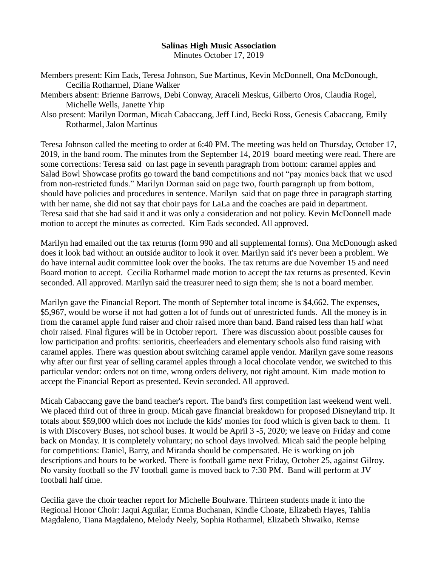## **Salinas High Music Association**

Minutes October 17, 2019

- Members present: Kim Eads, Teresa Johnson, Sue Martinus, Kevin McDonnell, Ona McDonough, Cecilia Rotharmel, Diane Walker
- Members absent: Brienne Barrows, Debi Conway, Araceli Meskus, Gilberto Oros, Claudia Rogel, Michelle Wells, Janette Yhip
- Also present: Marilyn Dorman, Micah Cabaccang, Jeff Lind, Becki Ross, Genesis Cabaccang, Emily Rotharmel, Jalon Martinus

Teresa Johnson called the meeting to order at 6:40 PM. The meeting was held on Thursday, October 17, 2019, in the band room. The minutes from the September 14, 2019 board meeting were read. There are some corrections: Teresa said on last page in seventh paragraph from bottom: caramel apples and Salad Bowl Showcase profits go toward the band competitions and not "pay monies back that we used from non-restricted funds." Marilyn Dorman said on page two, fourth paragraph up from bottom, should have policies and procedures in sentence. Marilyn said that on page three in paragraph starting with her name, she did not say that choir pays for LaLa and the coaches are paid in department. Teresa said that she had said it and it was only a consideration and not policy. Kevin McDonnell made motion to accept the minutes as corrected. Kim Eads seconded. All approved.

Marilyn had emailed out the tax returns (form 990 and all supplemental forms). Ona McDonough asked does it look bad without an outside auditor to look it over. Marilyn said it's never been a problem. We do have internal audit committee look over the books. The tax returns are due November 15 and need Board motion to accept. Cecilia Rotharmel made motion to accept the tax returns as presented. Kevin seconded. All approved. Marilyn said the treasurer need to sign them; she is not a board member.

Marilyn gave the Financial Report. The month of September total income is \$4,662. The expenses, \$5,967, would be worse if not had gotten a lot of funds out of unrestricted funds. All the money is in from the caramel apple fund raiser and choir raised more than band. Band raised less than half what choir raised. Final figures will be in October report. There was discussion about possible causes for low participation and profits: senioritis, cheerleaders and elementary schools also fund raising with caramel apples. There was question about switching caramel apple vendor. Marilyn gave some reasons why after our first year of selling caramel apples through a local chocolate vendor, we switched to this particular vendor: orders not on time, wrong orders delivery, not right amount. Kim made motion to accept the Financial Report as presented. Kevin seconded. All approved.

Micah Cabaccang gave the band teacher's report. The band's first competition last weekend went well. We placed third out of three in group. Micah gave financial breakdown for proposed Disneyland trip. It totals about \$59,000 which does not include the kids' monies for food which is given back to them. It is with Discovery Buses, not school buses. It would be April 3 -5, 2020; we leave on Friday and come back on Monday. It is completely voluntary; no school days involved. Micah said the people helping for competitions: Daniel, Barry, and Miranda should be compensated. He is working on job descriptions and hours to be worked. There is football game next Friday, October 25, against Gilroy. No varsity football so the JV football game is moved back to 7:30 PM. Band will perform at JV football half time.

Cecilia gave the choir teacher report for Michelle Boulware. Thirteen students made it into the Regional Honor Choir: Jaqui Aguilar, Emma Buchanan, Kindle Choate, Elizabeth Hayes, Tahlia Magdaleno, Tiana Magdaleno, Melody Neely, Sophia Rotharmel, Elizabeth Shwaiko, Remse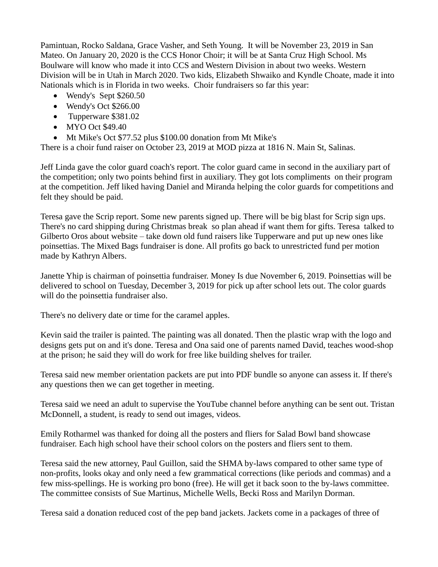Pamintuan, Rocko Saldana, Grace Vasher, and Seth Young. It will be November 23, 2019 in San Mateo. On January 20, 2020 is the CCS Honor Choir; it will be at Santa Cruz High School. Ms Boulware will know who made it into CCS and Western Division in about two weeks. Western Division will be in Utah in March 2020. Two kids, Elizabeth Shwaiko and Kyndle Choate, made it into Nationals which is in Florida in two weeks. Choir fundraisers so far this year:

- Wendy's Sept \$260.50
- Wendy's Oct \$266.00
- Tupperware \$381.02
- MYO Oct \$49.40
- Mt Mike's Oct \$77.52 plus \$100.00 donation from Mt Mike's

There is a choir fund raiser on October 23, 2019 at MOD pizza at 1816 N. Main St, Salinas.

Jeff Linda gave the color guard coach's report. The color guard came in second in the auxiliary part of the competition; only two points behind first in auxiliary. They got lots compliments on their program at the competition. Jeff liked having Daniel and Miranda helping the color guards for competitions and felt they should be paid.

Teresa gave the Scrip report. Some new parents signed up. There will be big blast for Scrip sign ups. There's no card shipping during Christmas break so plan ahead if want them for gifts. Teresa talked to Gilberto Oros about website – take down old fund raisers like Tupperware and put up new ones like poinsettias. The Mixed Bags fundraiser is done. All profits go back to unrestricted fund per motion made by Kathryn Albers.

Janette Yhip is chairman of poinsettia fundraiser. Money Is due November 6, 2019. Poinsettias will be delivered to school on Tuesday, December 3, 2019 for pick up after school lets out. The color guards will do the poinsettia fundraiser also.

There's no delivery date or time for the caramel apples.

Kevin said the trailer is painted. The painting was all donated. Then the plastic wrap with the logo and designs gets put on and it's done. Teresa and Ona said one of parents named David, teaches wood-shop at the prison; he said they will do work for free like building shelves for trailer.

Teresa said new member orientation packets are put into PDF bundle so anyone can assess it. If there's any questions then we can get together in meeting.

Teresa said we need an adult to supervise the YouTube channel before anything can be sent out. Tristan McDonnell, a student, is ready to send out images, videos.

Emily Rotharmel was thanked for doing all the posters and fliers for Salad Bowl band showcase fundraiser. Each high school have their school colors on the posters and fliers sent to them.

Teresa said the new attorney, Paul Guillon, said the SHMA by-laws compared to other same type of non-profits, looks okay and only need a few grammatical corrections (like periods and commas) and a few miss-spellings. He is working pro bono (free). He will get it back soon to the by-laws committee. The committee consists of Sue Martinus, Michelle Wells, Becki Ross and Marilyn Dorman.

Teresa said a donation reduced cost of the pep band jackets. Jackets come in a packages of three of